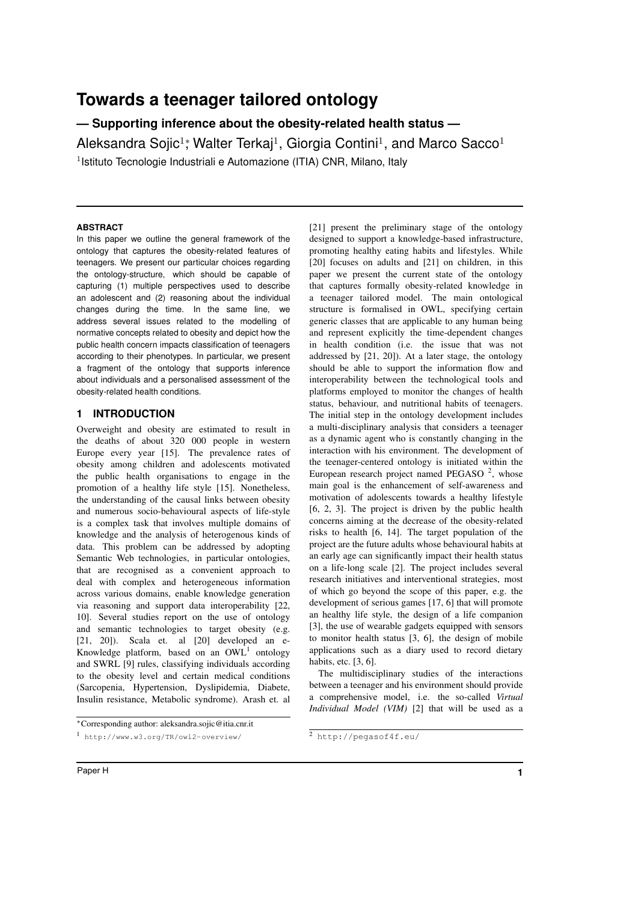# **Towards a teenager tailored ontology**

**— Supporting inference about the obesity-related health status —**

Aleksandra Sojic $^{1*}$ , Walter Terkaj $^{1}$ , Giorgia Contini $^{1}$ , and Marco Sacco $^{1}$ <sup>1</sup> Istituto Tecnologie Industriali e Automazione (ITIA) CNR, Milano, Italy

# **ABSTRACT**

In this paper we outline the general framework of the ontology that captures the obesity-related features of teenagers. We present our particular choices regarding the ontology-structure, which should be capable of capturing (1) multiple perspectives used to describe an adolescent and (2) reasoning about the individual changes during the time. In the same line, we address several issues related to the modelling of normative concepts related to obesity and depict how the public health concern impacts classification of teenagers according to their phenotypes. In particular, we present a fragment of the ontology that supports inference about individuals and a personalised assessment of the obesity-related health conditions.

# **1 INTRODUCTION**

Overweight and obesity are estimated to result in the deaths of about 320 000 people in western Europe every year [15]. The prevalence rates of obesity among children and adolescents motivated the public health organisations to engage in the promotion of a healthy life style [15]. Nonetheless, the understanding of the causal links between obesity and numerous socio-behavioural aspects of life-style is a complex task that involves multiple domains of knowledge and the analysis of heterogenous kinds of data. This problem can be addressed by adopting Semantic Web technologies, in particular ontologies, that are recognised as a convenient approach to deal with complex and heterogeneous information across various domains, enable knowledge generation via reasoning and support data interoperability [22, 10]. Several studies report on the use of ontology and semantic technologies to target obesity (e.g. [21, 20]). Scala et. al [20] developed an e-Knowledge platform, based on an  $OWL<sup>1</sup>$  ontology and SWRL [9] rules, classifying individuals according to the obesity level and certain medical conditions (Sarcopenia, Hypertension, Dyslipidemia, Diabete, Insulin resistance, Metabolic syndrome). Arash et. al [21] present the preliminary stage of the ontology designed to support a knowledge-based infrastructure, promoting healthy eating habits and lifestyles. While [20] focuses on adults and [21] on children, in this paper we present the current state of the ontology that captures formally obesity-related knowledge in a teenager tailored model. The main ontological structure is formalised in OWL, specifying certain generic classes that are applicable to any human being and represent explicitly the time-dependent changes in health condition (i.e. the issue that was not addressed by [21, 20]). At a later stage, the ontology should be able to support the information flow and interoperability between the technological tools and platforms employed to monitor the changes of health status, behaviour, and nutritional habits of teenagers. The initial step in the ontology development includes a multi-disciplinary analysis that considers a teenager as a dynamic agent who is constantly changing in the interaction with his environment. The development of the teenager-centered ontology is initiated within the European research project named PEGASO $2$ , whose main goal is the enhancement of self-awareness and motivation of adolescents towards a healthy lifestyle [6, 2, 3]. The project is driven by the public health concerns aiming at the decrease of the obesity-related risks to health [6, 14]. The target population of the project are the future adults whose behavioural habits at an early age can significantly impact their health status on a life-long scale [2]. The project includes several research initiatives and interventional strategies, most of which go beyond the scope of this paper, e.g. the development of serious games [17, 6] that will promote an healthy life style, the design of a life companion [3], the use of wearable gadgets equipped with sensors to monitor health status [3, 6], the design of mobile applications such as a diary used to record dietary habits, etc. [3, 6].

The multidisciplinary studies of the interactions between a teenager and his environment should provide a comprehensive model, i.e. the so-called *Virtual Individual Model (VIM)* [2] that will be used as a

<sup>⇤</sup>Corresponding author: aleksandra.sojic@itia.cnr.it

<sup>1</sup> http://www.w3.org/TR/owl2-overview/

<sup>2</sup> http://pegasof4f.eu/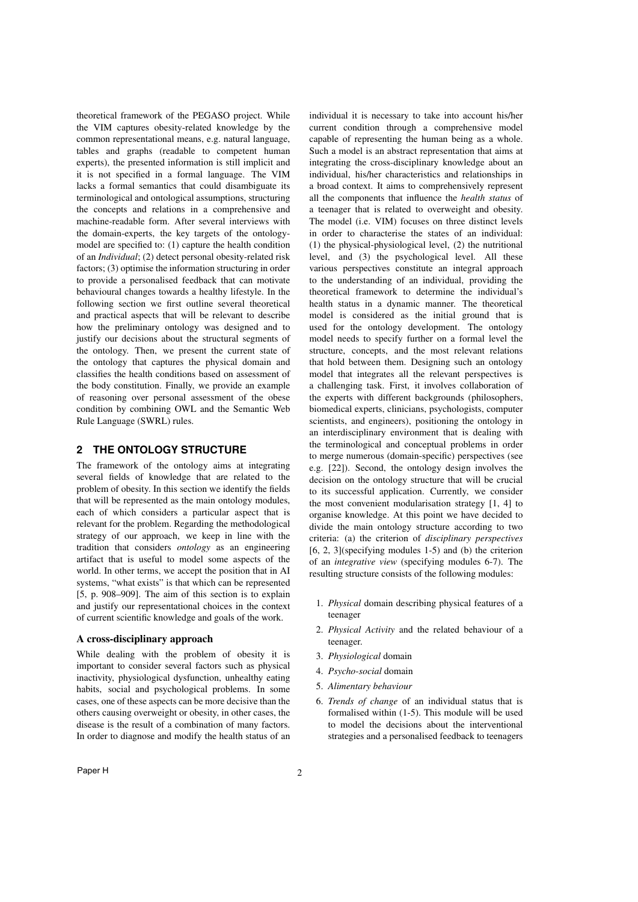theoretical framework of the PEGASO project. While the VIM captures obesity-related knowledge by the common representational means, e.g. natural language, tables and graphs (readable to competent human experts), the presented information is still implicit and it is not specified in a formal language. The VIM lacks a formal semantics that could disambiguate its terminological and ontological assumptions, structuring the concepts and relations in a comprehensive and machine-readable form. After several interviews with the domain-experts, the key targets of the ontologymodel are specified to: (1) capture the health condition of an *Individual*; (2) detect personal obesity-related risk factors; (3) optimise the information structuring in order to provide a personalised feedback that can motivate behavioural changes towards a healthy lifestyle. In the following section we first outline several theoretical and practical aspects that will be relevant to describe how the preliminary ontology was designed and to justify our decisions about the structural segments of the ontology. Then, we present the current state of the ontology that captures the physical domain and classifies the health conditions based on assessment of the body constitution. Finally, we provide an example of reasoning over personal assessment of the obese condition by combining OWL and the Semantic Web Rule Language (SWRL) rules.

## **2 THE ONTOLOGY STRUCTURE**

The framework of the ontology aims at integrating several fields of knowledge that are related to the problem of obesity. In this section we identify the fields that will be represented as the main ontology modules, each of which considers a particular aspect that is relevant for the problem. Regarding the methodological strategy of our approach, we keep in line with the tradition that considers *ontology* as an engineering artifact that is useful to model some aspects of the world. In other terms, we accept the position that in AI systems, "what exists" is that which can be represented [5, p. 908–909]. The aim of this section is to explain and justify our representational choices in the context of current scientific knowledge and goals of the work.

#### A cross-disciplinary approach

While dealing with the problem of obesity it is important to consider several factors such as physical inactivity, physiological dysfunction, unhealthy eating habits, social and psychological problems. In some cases, one of these aspects can be more decisive than the others causing overweight or obesity, in other cases, the disease is the result of a combination of many factors. In order to diagnose and modify the health status of an individual it is necessary to take into account his/her current condition through a comprehensive model capable of representing the human being as a whole. Such a model is an abstract representation that aims at integrating the cross-disciplinary knowledge about an individual, his/her characteristics and relationships in a broad context. It aims to comprehensively represent all the components that influence the *health status* of a teenager that is related to overweight and obesity. The model (i.e. VIM) focuses on three distinct levels in order to characterise the states of an individual: (1) the physical-physiological level, (2) the nutritional level, and (3) the psychological level. All these various perspectives constitute an integral approach to the understanding of an individual, providing the theoretical framework to determine the individual's health status in a dynamic manner. The theoretical model is considered as the initial ground that is used for the ontology development. The ontology model needs to specify further on a formal level the structure, concepts, and the most relevant relations that hold between them. Designing such an ontology model that integrates all the relevant perspectives is a challenging task. First, it involves collaboration of the experts with different backgrounds (philosophers, biomedical experts, clinicians, psychologists, computer scientists, and engineers), positioning the ontology in an interdisciplinary environment that is dealing with the terminological and conceptual problems in order to merge numerous (domain-specific) perspectives (see e.g. [22]). Second, the ontology design involves the decision on the ontology structure that will be crucial to its successful application. Currently, we consider the most convenient modularisation strategy [1, 4] to organise knowledge. At this point we have decided to divide the main ontology structure according to two criteria: (a) the criterion of *disciplinary perspectives*  $[6, 2, 3]$ (specifying modules 1-5) and (b) the criterion of an *integrative view* (specifying modules 6-7). The resulting structure consists of the following modules:

- 1. *Physical* domain describing physical features of a teenager
- 2. *Physical Activity* and the related behaviour of a teenager.
- 3. *Physiological* domain
- 4. *Psycho-social* domain
- 5. *Alimentary behaviour*
- 6. *Trends of change* of an individual status that is formalised within (1-5). This module will be used to model the decisions about the interventional strategies and a personalised feedback to teenagers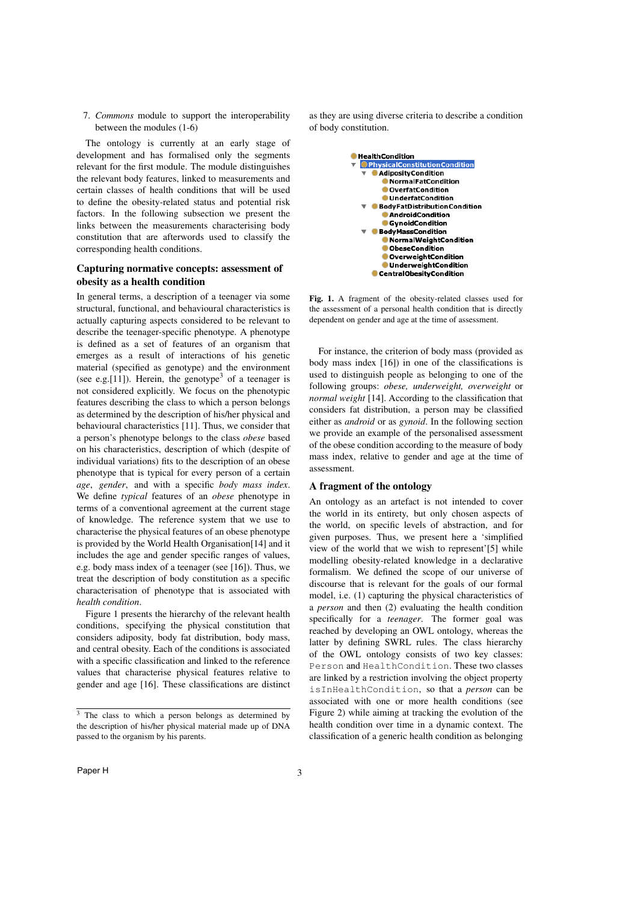7. *Commons* module to support the interoperability between the modules (1-6)

The ontology is currently at an early stage of development and has formalised only the segments relevant for the first module. The module distinguishes the relevant body features, linked to measurements and certain classes of health conditions that will be used to define the obesity-related status and potential risk factors. In the following subsection we present the links between the measurements characterising body constitution that are afterwords used to classify the corresponding health conditions.

# Capturing normative concepts: assessment of obesity as a health condition

In general terms, a description of a teenager via some structural, functional, and behavioural characteristics is actually capturing aspects considered to be relevant to describe the teenager-specific phenotype. A phenotype is defined as a set of features of an organism that emerges as a result of interactions of his genetic material (specified as genotype) and the environment (see e.g.[11]). Herein, the genotype<sup>3</sup> of a teenager is not considered explicitly. We focus on the phenotypic features describing the class to which a person belongs as determined by the description of his/her physical and behavioural characteristics [11]. Thus, we consider that a person's phenotype belongs to the class *obese* based on his characteristics, description of which (despite of individual variations) fits to the description of an obese phenotype that is typical for every person of a certain *age*, *gender*, and with a specific *body mass index*. We define *typical* features of an *obese* phenotype in terms of a conventional agreement at the current stage of knowledge. The reference system that we use to characterise the physical features of an obese phenotype is provided by the World Health Organisation[14] and it includes the age and gender specific ranges of values, e.g. body mass index of a teenager (see [16]). Thus, we treat the description of body constitution as a specific characterisation of phenotype that is associated with *health condition*.

Figure 1 presents the hierarchy of the relevant health conditions, specifying the physical constitution that considers adiposity, body fat distribution, body mass, and central obesity. Each of the conditions is associated with a specific classification and linked to the reference values that characterise physical features relative to gender and age [16]. These classifications are distinct as they are using diverse criteria to describe a condition of body constitution.



Fig. 1. A fragment of the obesity-related classes used for the assessment of a personal health condition that is directly dependent on gender and age at the time of assessment.

For instance, the criterion of body mass (provided as body mass index [16]) in one of the classifications is used to distinguish people as belonging to one of the following groups: *obese, underweight, overweight* or *normal weight* [14]. According to the classification that considers fat distribution, a person may be classified either as *android* or as *gynoid*. In the following section we provide an example of the personalised assessment of the obese condition according to the measure of body mass index, relative to gender and age at the time of assessment.

#### A fragment of the ontology

An ontology as an artefact is not intended to cover the world in its entirety, but only chosen aspects of the world, on specific levels of abstraction, and for given purposes. Thus, we present here a 'simplified view of the world that we wish to represent'[5] while modelling obesity-related knowledge in a declarative formalism. We defined the scope of our universe of discourse that is relevant for the goals of our formal model, i.e. (1) capturing the physical characteristics of a *person* and then (2) evaluating the health condition specifically for a *teenager*. The former goal was reached by developing an OWL ontology, whereas the latter by defining SWRL rules. The class hierarchy of the OWL ontology consists of two key classes: Person and HealthCondition. These two classes are linked by a restriction involving the object property isInHealthCondition, so that a *person* can be associated with one or more health conditions (see Figure 2) while aiming at tracking the evolution of the health condition over time in a dynamic context. The classification of a generic health condition as belonging

 $\frac{3}{3}$  The class to which a person belongs as determined by the description of his/her physical material made up of DNA passed to the organism by his parents.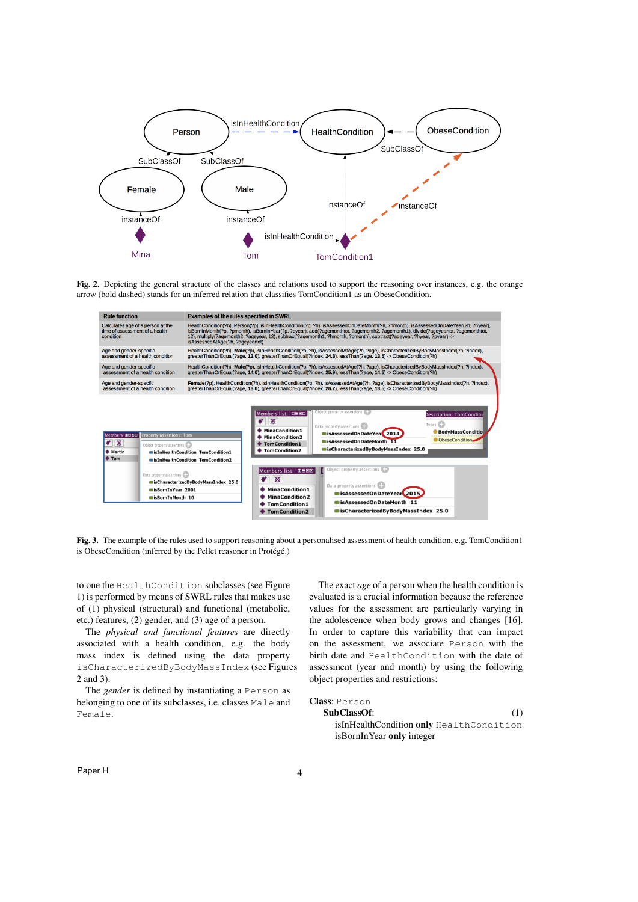

Fig. 2. Depicting the general structure of the classes and relations used to support the reasoning over instances, e.g. the orange arrow (bold dashed) stands for an inferred relation that classifies TomCondition1 as an ObeseCondition.

| <b>Rule function</b>                                                                                                                                              | <b>Examples of the rules specified in SWRL</b>                                                                                                                                                                                                                                                                                                                                                                                                                                                                                                                                                     |  |  |
|-------------------------------------------------------------------------------------------------------------------------------------------------------------------|----------------------------------------------------------------------------------------------------------------------------------------------------------------------------------------------------------------------------------------------------------------------------------------------------------------------------------------------------------------------------------------------------------------------------------------------------------------------------------------------------------------------------------------------------------------------------------------------------|--|--|
| Calculates age of a person at the<br>time of assessment of a health<br>condition                                                                                  | HealthCondition(?h), Person(?p), isInHealthCondition(?p, ?h), isAssessedOnDateMonth(?h, ?hmonth), isAssessedOnDateYear(?h, ?hvear),<br>isBornInMonth(?p, ?pmonth), isBornInYear(?p, ?pyear), add(?agemonthtot, ?agemonth2, ?agemonth1), divide(?ageyeartot, ?agemonthtot,<br>12), multiply(?agemonth2, ?ageyear, 12), subtract(?agemonth1, ?hmonth, ?pmonth), subtract(?ageyear, ?hyear, ?pyear) -><br>isAssessedAtAge(?h, ?ageyeartot)                                                                                                                                                            |  |  |
| Age and gender-specific                                                                                                                                           | HealthCondition(?h), Male(?p), isInHealthCondition(?p, ?h), isAssessedAtAqe(?h, ?aqe), isCharacterizedByBodyMassIndex(?h, ?index),                                                                                                                                                                                                                                                                                                                                                                                                                                                                 |  |  |
| assessment of a health condition                                                                                                                                  | greaterThanOrEgual(?age, 13.0), greaterThanOrEgual(?index, 24.8), lessThan(?age, 13.5) -> ObeseCondition(?h)                                                                                                                                                                                                                                                                                                                                                                                                                                                                                       |  |  |
| Age and gender-specific                                                                                                                                           | HealthCondition(?h), Male(?p), isInHealthCondition(?p, ?h), isAssessedAtAge(?h, ?age), isCharacterizedByBodyMassIndex(?h, ?index),                                                                                                                                                                                                                                                                                                                                                                                                                                                                 |  |  |
| assessment of a health condition                                                                                                                                  | greaterThanOrEqual(?age, 14.0), greaterThanOrEqual(?index, 25.9), lessThan(?age, 14.5) -> ObeseCondition(?h)                                                                                                                                                                                                                                                                                                                                                                                                                                                                                       |  |  |
| Age and gender-specifc                                                                                                                                            | Female(?p), HealthCondition(?h), isInHealthCondition(?p, ?h), isAssessedAtAge(?h, ?age), isCharacterizedByBodyMassIndex(?h, ?index),                                                                                                                                                                                                                                                                                                                                                                                                                                                               |  |  |
| assessment of a health condition                                                                                                                                  | greaterThanOrEqual(?age, 13.0), greaterThanOrEqual(?index, 26.2), lessThan(?age, 13.5) -> ObeseCondition(?h)                                                                                                                                                                                                                                                                                                                                                                                                                                                                                       |  |  |
| Members <b>DHEE   Property assertions: Tom</b><br>$\mathbb{X}$<br>$\bullet$<br>Object property assertions<br>♦ Martin<br><b>♦ Tom</b><br>Data property assertions | Object property assertions<br>Members list: 0000<br><b>Description: TomConditid</b><br>Ж<br>Types <sup>C</sup><br>Data property assertions<br>MinaCondition1<br><b>BodyMassConditio</b><br>sisAssessedOnDateYea 2014<br><b>MinaCondition2</b><br>ObeseCondition<br>sAssessedOnDateMonth 11<br><b>TomCondition1</b><br>sCharacterizedBvBodvMassIndex 25.0<br><b>TomCondition2</b><br>sisInHealthCondition TomCondition1<br>sisInHealthCondition TomCondition2<br>Object property assertions<br>Members list: DEDE<br>$\mathbb{X}$<br>scharacterizedByBodyMassIndex 25.0<br>Data property assertions |  |  |

Fig. 3. The example of the rules used to support reasoning about a personalised assessment of health condition, e.g. TomCondition1 is ObeseCondition (inferred by the Pellet reasoner in Protégé.)

to one the HealthCondition subclasses (see Figure 1) is performed by means of SWRL rules that makes use of (1) physical (structural) and functional (metabolic, etc.) features, (2) gender, and (3) age of a person.

The *physical and functional features* are directly associated with a health condition, e.g. the body mass index is defined using the data property isCharacterizedByBodyMassIndex (see Figures 2 and 3).

The *gender* is defined by instantiating a Person as belonging to one of its subclasses, i.e. classes Male and Female.

The exact *age* of a person when the health condition is evaluated is a crucial information because the reference values for the assessment are particularly varying in the adolescence when body grows and changes [16]. In order to capture this variability that can impact on the assessment, we associate Person with the birth date and HealthCondition with the date of assessment (year and month) by using the following object properties and restrictions:

# Class: Person

# SubClassOf: (1)

isInHealthCondition only HealthCondition isBornInYear only integer

Paper H 4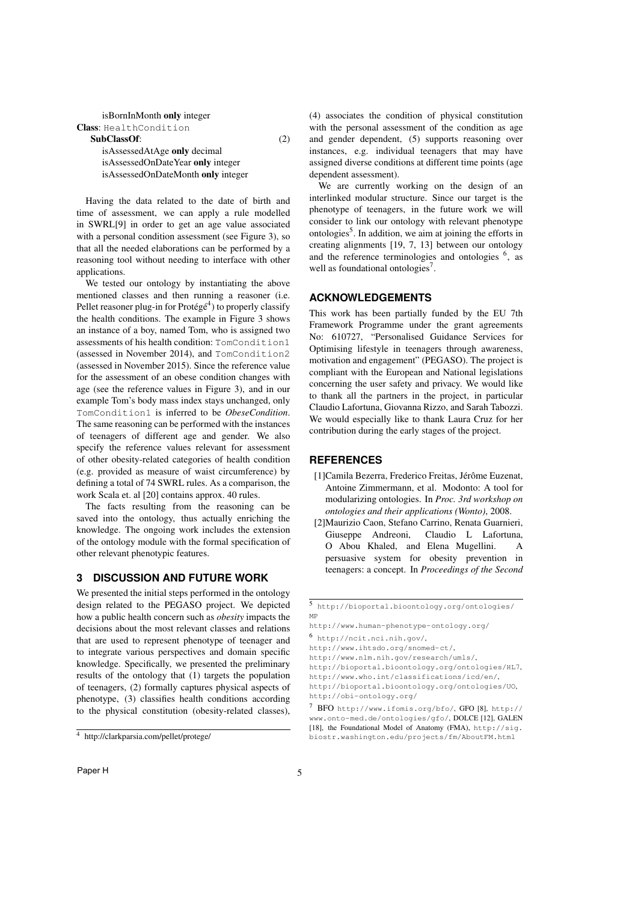| isBornInMonth only integer |  |  |
|----------------------------|--|--|
|----------------------------|--|--|

Class: HealthCondition SubClassOf: (2)

isAssessedAtAge only decimal isAssessedOnDateYear only integer isAssessedOnDateMonth only integer

Having the data related to the date of birth and time of assessment, we can apply a rule modelled in SWRL[9] in order to get an age value associated with a personal condition assessment (see Figure 3), so that all the needed elaborations can be performed by a reasoning tool without needing to interface with other applications.

We tested our ontology by instantiating the above mentioned classes and then running a reasoner (i.e. Pellet reasoner plug-in for Protégé<sup>4</sup>) to properly classify the health conditions. The example in Figure 3 shows an instance of a boy, named Tom, who is assigned two assessments of his health condition: TomCondition1 (assessed in November 2014), and TomCondition2 (assessed in November 2015). Since the reference value for the assessment of an obese condition changes with age (see the reference values in Figure 3), and in our example Tom's body mass index stays unchanged, only TomCondition1 is inferred to be *ObeseCondition*. The same reasoning can be performed with the instances of teenagers of different age and gender. We also specify the reference values relevant for assessment of other obesity-related categories of health condition (e.g. provided as measure of waist circumference) by defining a total of 74 SWRL rules. As a comparison, the work Scala et. al [20] contains approx. 40 rules.

The facts resulting from the reasoning can be saved into the ontology, thus actually enriching the knowledge. The ongoing work includes the extension of the ontology module with the formal specification of other relevant phenotypic features.

# **3 DISCUSSION AND FUTURE WORK**

We presented the initial steps performed in the ontology design related to the PEGASO project. We depicted how a public health concern such as *obesity* impacts the decisions about the most relevant classes and relations that are used to represent phenotype of teenager and to integrate various perspectives and domain specific knowledge. Specifically, we presented the preliminary results of the ontology that (1) targets the population of teenagers, (2) formally captures physical aspects of phenotype, (3) classifies health conditions according to the physical constitution (obesity-related classes),

(4) associates the condition of physical constitution with the personal assessment of the condition as age and gender dependent, (5) supports reasoning over instances, e.g. individual teenagers that may have assigned diverse conditions at different time points (age dependent assessment).

We are currently working on the design of an interlinked modular structure. Since our target is the phenotype of teenagers, in the future work we will consider to link our ontology with relevant phenotype ontologies<sup>5</sup>. In addition, we aim at joining the efforts in creating alignments [19, 7, 13] between our ontology and the reference terminologies and ontologies  $6$ , as well as foundational ontologies<sup>7</sup>.

## **ACKNOWLEDGEMENTS**

This work has been partially funded by the EU 7th Framework Programme under the grant agreements No: 610727, "Personalised Guidance Services for Optimising lifestyle in teenagers through awareness, motivation and engagement" (PEGASO). The project is compliant with the European and National legislations concerning the user safety and privacy. We would like to thank all the partners in the project, in particular Claudio Lafortuna, Giovanna Rizzo, and Sarah Tabozzi. We would especially like to thank Laura Cruz for her contribution during the early stages of the project.

#### **REFERENCES**

- [1]Camila Bezerra, Frederico Freitas, Jérôme Euzenat, Antoine Zimmermann, et al. Modonto: A tool for modularizing ontologies. In *Proc. 3rd workshop on ontologies and their applications (Wonto)*, 2008.
- [2]Maurizio Caon, Stefano Carrino, Renata Guarnieri, Giuseppe Andreoni, Claudio L Lafortuna, O Abou Khaled, and Elena Mugellini. persuasive system for obesity prevention in teenagers: a concept. In *Proceedings of the Second*

<sup>4</sup> http://clarkparsia.com/pellet/protege/

<sup>5</sup> http://bioportal.bioontology.org/ontologies/ MP

http://www.human-phenotype-ontology.org/

<sup>6</sup> http://ncit.nci.nih.gov/,

http://www.ihtsdo.org/snomed-ct/,

http://www.nlm.nih.gov/research/umls/,

http://bioportal.bioontology.org/ontologies/HL7,

http://www.who.int/classifications/icd/en/,

http://bioportal.bioontology.org/ontologies/UO, http://obi-ontology.org/

<sup>7</sup> BFO http://www.ifomis.org/bfo/, GFO [8], http:// www.onto-med.de/ontologies/gfo/, DOLCE [12], GALEN [18], the Foundational Model of Anatomy (FMA), http://sig. biostr.washington.edu/projects/fm/AboutFM.html